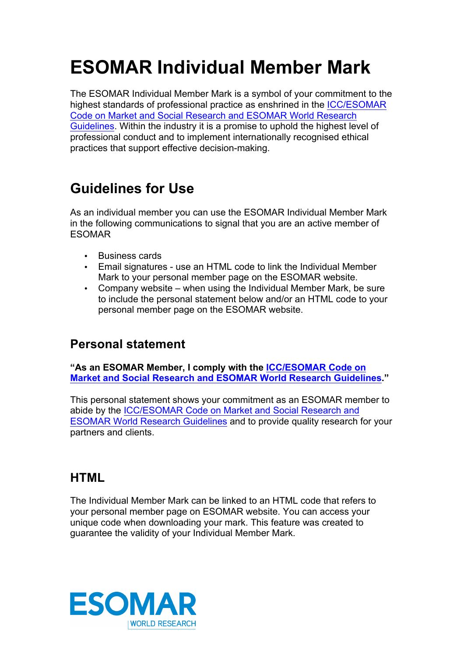# **ESOMAR Individual Member Mark**

The ESOMAR Individual Member Mark is a symbol of your commitment to the highest standards of professional practice as enshrined in the [ICC/ESOMAR](http://www.esomar.org/knowledge-and-standards/codes-and-guidelines.php)  [Code on Market and Social Research and ESOMAR World Research](http://www.esomar.org/knowledge-and-standards/codes-and-guidelines.php)  [Guidelines.](http://www.esomar.org/knowledge-and-standards/codes-and-guidelines.php) Within the industry it is a promise to uphold the highest level of professional conduct and to implement internationally recognised ethical practices that support effective decision-making.

## **Guidelines for Use**

As an individual member you can use the ESOMAR Individual Member Mark in the following communications to signal that you are an active member of ESOMAR

- Business cards
- Email signatures use an HTML code to link the Individual Member Mark to your personal member page on the ESOMAR website.
- Company website when using the Individual Member Mark, be sure to include the personal statement below and/or an HTML code to your personal member page on the ESOMAR website.

#### **Personal statement**

**"As an ESOMAR Member, I comply with the [ICC/ESOMAR Code on](http://www.esomar.org/knowledge-and-standards/codes-and-guidelines.php)  [Market and Social Research and ESOMAR World Research Guidelines.](http://www.esomar.org/knowledge-and-standards/codes-and-guidelines.php)"**

This personal statement shows your commitment as an ESOMAR member to abide by the [ICC/ESOMAR Code on Market and Social Research and](http://www.esomar.org/knowledge-and-standards/codes-and-guidelines.php)  [ESOMAR World Research Guidelines](http://www.esomar.org/knowledge-and-standards/codes-and-guidelines.php) and to provide quality research for your partners and clients.

#### **HTML**

The Individual Member Mark can be linked to an HTML code that refers to your personal member page on ESOMAR website. You can access your unique code when downloading your mark. This feature was created to guarantee the validity of your Individual Member Mark.

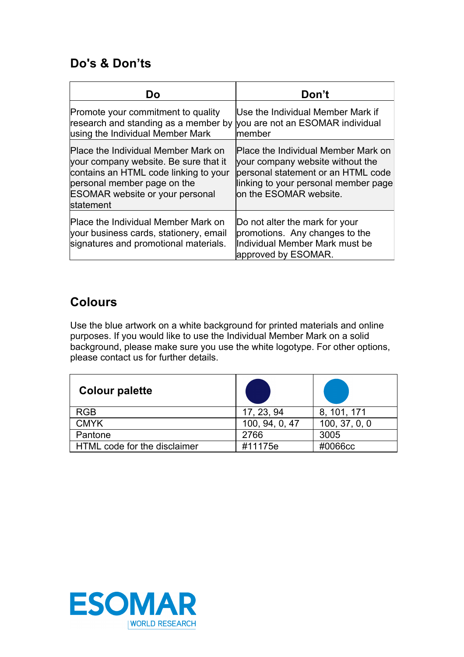#### **Do's & Don'ts**

| Dο                                                                                                                                                                                                                 | Don't                                                                                                                                                                           |  |
|--------------------------------------------------------------------------------------------------------------------------------------------------------------------------------------------------------------------|---------------------------------------------------------------------------------------------------------------------------------------------------------------------------------|--|
| Promote your commitment to quality<br>research and standing as a member by<br>using the Individual Member Mark                                                                                                     | Use the Individual Member Mark if<br>you are not an ESOMAR individual<br>lmember                                                                                                |  |
| Place the Individual Member Mark on<br>your company website. Be sure that it<br>contains an HTML code linking to your<br>personal member page on the<br><b>ESOMAR website or your personal</b><br><b>statement</b> | Place the Individual Member Mark on<br>your company website without the<br>personal statement or an HTML code<br>linking to your personal member page<br>on the ESOMAR website. |  |
| Place the Individual Member Mark on<br>your business cards, stationery, email<br>signatures and promotional materials.                                                                                             | Do not alter the mark for your<br>promotions. Any changes to the<br>Individual Member Mark must be<br>approved by ESOMAR.                                                       |  |

#### **Colours**

Use the blue artwork on a white background for printed materials and online purposes. If you would like to use the Individual Member Mark on a solid background, please make sure you use the white logotype. For other options, please contact us for further details.

| <b>Colour palette</b>        |                |               |
|------------------------------|----------------|---------------|
| <b>RGB</b>                   | 17, 23, 94     | 8, 101, 171   |
| <b>CMYK</b>                  | 100, 94, 0, 47 | 100, 37, 0, 0 |
| Pantone                      | 2766           | 3005          |
| HTML code for the disclaimer | #11175e        | #0066cc       |